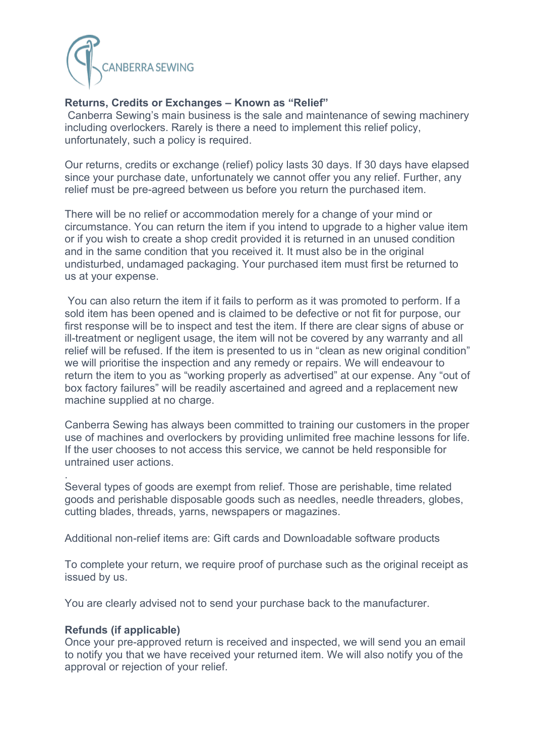

## **Returns, Credits or Exchanges – Known as "Relief"**

Canberra Sewing's main business is the sale and maintenance of sewing machinery including overlockers. Rarely is there a need to implement this relief policy, unfortunately, such a policy is required.

Our returns, credits or exchange (relief) policy lasts 30 days. If 30 days have elapsed since your purchase date, unfortunately we cannot offer you any relief. Further, any relief must be pre-agreed between us before you return the purchased item.

There will be no relief or accommodation merely for a change of your mind or circumstance. You can return the item if you intend to upgrade to a higher value item or if you wish to create a shop credit provided it is returned in an unused condition and in the same condition that you received it. It must also be in the original undisturbed, undamaged packaging. Your purchased item must first be returned to us at your expense.

You can also return the item if it fails to perform as it was promoted to perform. If a sold item has been opened and is claimed to be defective or not fit for purpose, our first response will be to inspect and test the item. If there are clear signs of abuse or ill-treatment or negligent usage, the item will not be covered by any warranty and all relief will be refused. If the item is presented to us in "clean as new original condition" we will prioritise the inspection and any remedy or repairs. We will endeavour to return the item to you as "working properly as advertised" at our expense. Any "out of box factory failures" will be readily ascertained and agreed and a replacement new machine supplied at no charge.

Canberra Sewing has always been committed to training our customers in the proper use of machines and overlockers by providing unlimited free machine lessons for life. If the user chooses to not access this service, we cannot be held responsible for untrained user actions.

. Several types of goods are exempt from relief. Those are perishable, time related goods and perishable disposable goods such as needles, needle threaders, globes, cutting blades, threads, yarns, newspapers or magazines.

Additional non-relief items are: Gift cards and Downloadable software products

To complete your return, we require proof of purchase such as the original receipt as issued by us.

You are clearly advised not to send your purchase back to the manufacturer.

## **Refunds (if applicable)**

Once your pre-approved return is received and inspected, we will send you an email to notify you that we have received your returned item. We will also notify you of the approval or rejection of your relief.